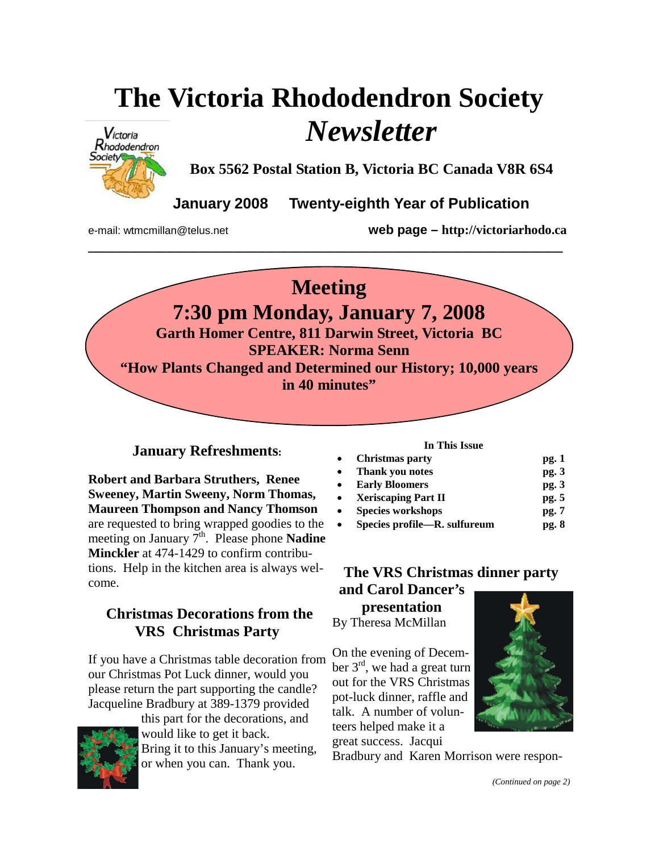# **The Victoria Rhododendron Society**  *Newsletter*



**Box 5562 Postal Station B, Victoria BC Canada V8R 6S4** 

**January 2008 Twenty-eighth Year of Publication** 

e-mail: wtmcmillan@telus.net **web page – http://victoriarhodo.ca**



**\_\_\_\_\_\_\_\_\_\_\_\_\_\_\_\_\_\_\_\_\_\_\_\_\_\_\_\_\_\_\_\_\_\_\_\_\_\_\_\_\_\_\_\_\_\_\_\_\_\_\_\_\_\_\_\_\_\_\_\_\_\_\_** 

**7:30 pm Monday, January 7, 2008** 

**Garth Homer Centre, 811 Darwin Street, Victoria BC SPEAKER: Norma Senn "How Plants Changed and Determined our History; 10,000 years in 40 minutes"** 

# **January Refreshments:**

**Robert and Barbara Struthers, Renee Sweeney, Martin Sweeny, Norm Thomas, Maureen Thompson and Nancy Thomson** are requested to bring wrapped goodies to the meeting on January 7<sup>th</sup>. Please phone **Nadine Minckler** at 474-1429 to confirm contributions. Help in the kitchen area is always welcome.

# **Christmas Decorations from the VRS Christmas Party**

If you have a Christmas table decoration from our Christmas Pot Luck dinner, would you please return the part supporting the candle? Jacqueline Bradbury at 389-1379 provided



this part for the decorations, and would like to get it back. Bring it to this January's meeting, or when you can. Thank you.

### **In This Issue**

| $\bullet$ | <b>Christmas party</b>       | pg.1  |
|-----------|------------------------------|-------|
| $\bullet$ | Thank you notes              | pg.3  |
| $\bullet$ | <b>Early Bloomers</b>        | pg.3  |
| $\bullet$ | <b>Xeriscaping Part II</b>   | pg. 5 |
| $\bullet$ | <b>Species workshops</b>     | pg.7  |
| $\bullet$ | Species profile—R. sulfureum | pg. 8 |

# **The VRS Christmas dinner party and Carol Dancer's presentation**

By Theresa McMillan

On the evening of December  $3<sup>rd</sup>$ , we had a great turn out for the VRS Christmas pot-luck dinner, raffle and talk. A number of volunteers helped make it a great success. Jacqui



Bradbury and Karen Morrison were respon-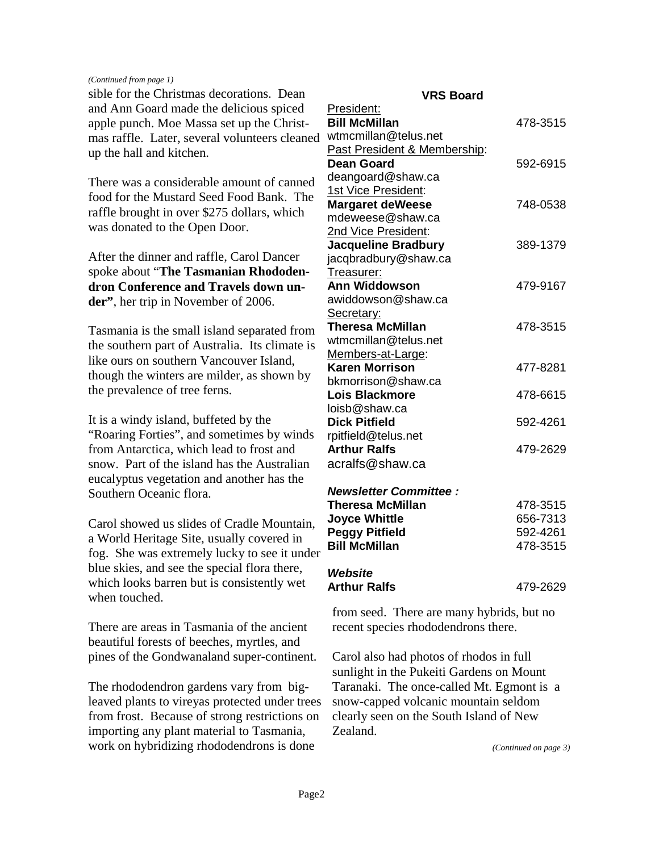### *(Continued from page 1)*

sible for the Christmas decorations. Dean and Ann Goard made the delicious spiced apple punch. Moe Massa set up the Christmas raffle. Later, several volunteers cleaned up the hall and kitchen.

There was a considerable amount of canned food for the Mustard Seed Food Bank. The raffle brought in over \$275 dollars, which was donated to the Open Door.

After the dinner and raffle, Carol Dancer spoke about "**The Tasmanian Rhododendron Conference and Travels down under"**, her trip in November of 2006.

Tasmania is the small island separated from the southern part of Australia. Its climate is like ours on southern Vancouver Island, though the winters are milder, as shown by the prevalence of tree ferns.

It is a windy island, buffeted by the "Roaring Forties", and sometimes by winds from Antarctica, which lead to frost and snow. Part of the island has the Australian eucalyptus vegetation and another has the Southern Oceanic flora.

Carol showed us slides of Cradle Mountain, a World Heritage Site, usually covered in fog. She was extremely lucky to see it under blue skies, and see the special flora there, which looks barren but is consistently wet when touched.

There are areas in Tasmania of the ancient beautiful forests of beeches, myrtles, and pines of the Gondwanaland super-continent.

The rhododendron gardens vary from bigleaved plants to vireyas protected under trees from frost. Because of strong restrictions on importing any plant material to Tasmania, work on hybridizing rhododendrons is done

### **VRS Board**

| President:                   |          |
|------------------------------|----------|
| <b>Bill McMillan</b>         | 478-3515 |
| wtmcmillan@telus.net         |          |
| Past President & Membership: |          |
| <b>Dean Goard</b>            | 592-6915 |
| deangoard@shaw.ca            |          |
| 1st Vice President:          |          |
| <b>Margaret deWeese</b>      | 748-0538 |
| mdeweese@shaw.ca             |          |
| 2nd Vice President:          |          |
| <b>Jacqueline Bradbury</b>   | 389-1379 |
| jacqbradbury@shaw.ca         |          |
| Treasurer:                   |          |
| <b>Ann Widdowson</b>         | 479-9167 |
| awiddowson@shaw.ca           |          |
| Secretary:                   |          |
| <b>Theresa McMillan</b>      | 478-3515 |
| wtmcmillan@telus.net         |          |
| Members-at-Large:            |          |
| <b>Karen Morrison</b>        | 477-8281 |
| bkmorrison@shaw.ca           |          |
| <b>Lois Blackmore</b>        | 478-6615 |
| loisb@shaw.ca                |          |
| <b>Dick Pitfield</b>         | 592-4261 |
| rpitfield@telus.net          |          |
| <b>Arthur Ralfs</b>          | 479-2629 |
| acralfs@shaw.ca              |          |
| <b>Newsletter Committee:</b> |          |
| <b>Theresa McMillan</b>      | 478-3515 |
| <b>Joyce Whittle</b>         | 656-7313 |
| <b>Peggy Pitfield</b>        | 592-4261 |
| <b>Bill McMillan</b>         | 478-3515 |
| Website                      |          |
| <b>Arthur Ralfs</b>          | 479-2629 |

from seed. There are many hybrids, but no recent species rhododendrons there.

Carol also had photos of rhodos in full sunlight in the Pukeiti Gardens on Mount Taranaki. The once-called Mt. Egmont is a snow-capped volcanic mountain seldom clearly seen on the South Island of New Zealand.

*(Continued on page 3)*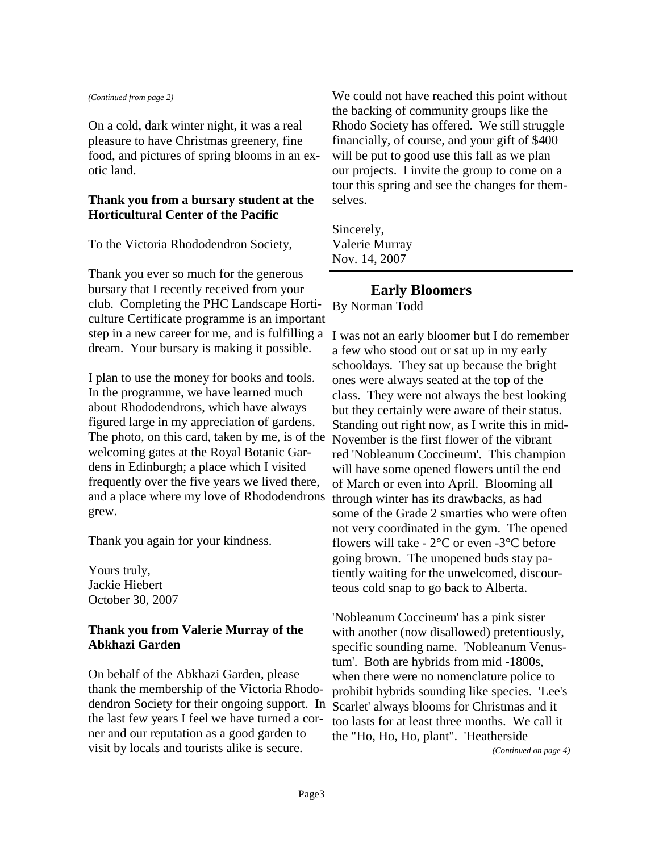#### *(Continued from page 2)*

On a cold, dark winter night, it was a real pleasure to have Christmas greenery, fine food, and pictures of spring blooms in an exotic land.

### **Thank you from a bursary student at the Horticultural Center of the Pacific**

To the Victoria Rhododendron Society,

Thank you ever so much for the generous bursary that I recently received from your club. Completing the PHC Landscape Horticulture Certificate programme is an important step in a new career for me, and is fulfilling a dream. Your bursary is making it possible.

I plan to use the money for books and tools. In the programme, we have learned much about Rhododendrons, which have always figured large in my appreciation of gardens. The photo, on this card, taken by me, is of the welcoming gates at the Royal Botanic Gardens in Edinburgh; a place which I visited frequently over the five years we lived there, and a place where my love of Rhododendrons grew.

Thank you again for your kindness.

Yours truly, Jackie Hiebert October 30, 2007

### **Thank you from Valerie Murray of the Abkhazi Garden**

On behalf of the Abkhazi Garden, please thank the membership of the Victoria Rhododendron Society for their ongoing support. In the last few years I feel we have turned a corner and our reputation as a good garden to visit by locals and tourists alike is secure.

We could not have reached this point without the backing of community groups like the Rhodo Society has offered. We still struggle financially, of course, and your gift of \$400 will be put to good use this fall as we plan our projects. I invite the group to come on a tour this spring and see the changes for themselves.

Sincerely, Valerie Murray Nov. 14, 2007

# **Early Bloomers**

By Norman Todd

I was not an early bloomer but I do remember a few who stood out or sat up in my early schooldays. They sat up because the bright ones were always seated at the top of the class. They were not always the best looking but they certainly were aware of their status. Standing out right now, as I write this in mid-November is the first flower of the vibrant red 'Nobleanum Coccineum'. This champion will have some opened flowers until the end of March or even into April. Blooming all through winter has its drawbacks, as had some of the Grade 2 smarties who were often not very coordinated in the gym. The opened flowers will take -  $2^{\circ}$ C or even -3 $^{\circ}$ C before going brown. The unopened buds stay patiently waiting for the unwelcomed, discourteous cold snap to go back to Alberta.

'Nobleanum Coccineum' has a pink sister with another (now disallowed) pretentiously, specific sounding name. 'Nobleanum Venustum'. Both are hybrids from mid -1800s, when there were no nomenclature police to prohibit hybrids sounding like species. 'Lee's Scarlet' always blooms for Christmas and it too lasts for at least three months. We call it the "Ho, Ho, Ho, plant". 'Heatherside

*(Continued on page 4)*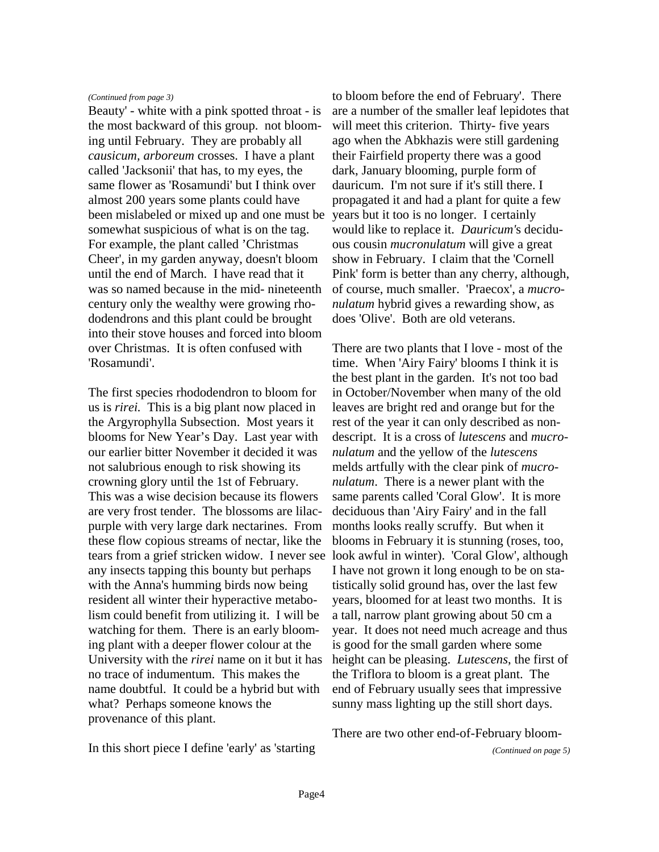### *(Continued from page 3)*

Beauty' - white with a pink spotted throat - is the most backward of this group. not blooming until February. They are probably all *causicum, arboreum* crosses. I have a plant called 'Jacksonii' that has, to my eyes, the same flower as 'Rosamundi' but I think over almost 200 years some plants could have been mislabeled or mixed up and one must be somewhat suspicious of what is on the tag. For example, the plant called 'Christmas Cheer', in my garden anyway, doesn't bloom until the end of March. I have read that it was so named because in the mid- nineteenth century only the wealthy were growing rhododendrons and this plant could be brought into their stove houses and forced into bloom over Christmas. It is often confused with 'Rosamundi'.

The first species rhododendron to bloom for us is *rirei.* This is a big plant now placed in the Argyrophylla Subsection. Most years it blooms for New Year's Day. Last year with our earlier bitter November it decided it was not salubrious enough to risk showing its crowning glory until the 1st of February. This was a wise decision because its flowers are very frost tender. The blossoms are lilacpurple with very large dark nectarines. From these flow copious streams of nectar, like the tears from a grief stricken widow. I never see any insects tapping this bounty but perhaps with the Anna's humming birds now being resident all winter their hyperactive metabolism could benefit from utilizing it. I will be watching for them. There is an early blooming plant with a deeper flower colour at the University with the *rirei* name on it but it has no trace of indumentum. This makes the name doubtful. It could be a hybrid but with what? Perhaps someone knows the provenance of this plant.

to bloom before the end of February'. There are a number of the smaller leaf lepidotes that will meet this criterion. Thirty- five years ago when the Abkhazis were still gardening their Fairfield property there was a good dark, January blooming, purple form of dauricum. I'm not sure if it's still there. I propagated it and had a plant for quite a few years but it too is no longer. I certainly would like to replace it. *Dauricum'*s deciduous cousin *mucronulatum* will give a great show in February. I claim that the 'Cornell Pink' form is better than any cherry, although, of course, much smaller. 'Praecox', a *mucronulatum* hybrid gives a rewarding show, as does 'Olive'. Both are old veterans.

There are two plants that I love - most of the time. When 'Airy Fairy' blooms I think it is the best plant in the garden. It's not too bad in October/November when many of the old leaves are bright red and orange but for the rest of the year it can only described as nondescript. It is a cross of *lutescens* and *mucronulatum* and the yellow of the *lutescens* melds artfully with the clear pink of *mucronulatum*. There is a newer plant with the same parents called 'Coral Glow'. It is more deciduous than 'Airy Fairy' and in the fall months looks really scruffy. But when it blooms in February it is stunning (roses, too, look awful in winter). 'Coral Glow', although I have not grown it long enough to be on statistically solid ground has, over the last few years, bloomed for at least two months. It is a tall, narrow plant growing about 50 cm a year. It does not need much acreage and thus is good for the small garden where some height can be pleasing. *Lutescens*, the first of the Triflora to bloom is a great plant. The end of February usually sees that impressive sunny mass lighting up the still short days.

In this short piece I define 'early' as 'starting

There are two other end-of-February bloom-

*(Continued on page 5)*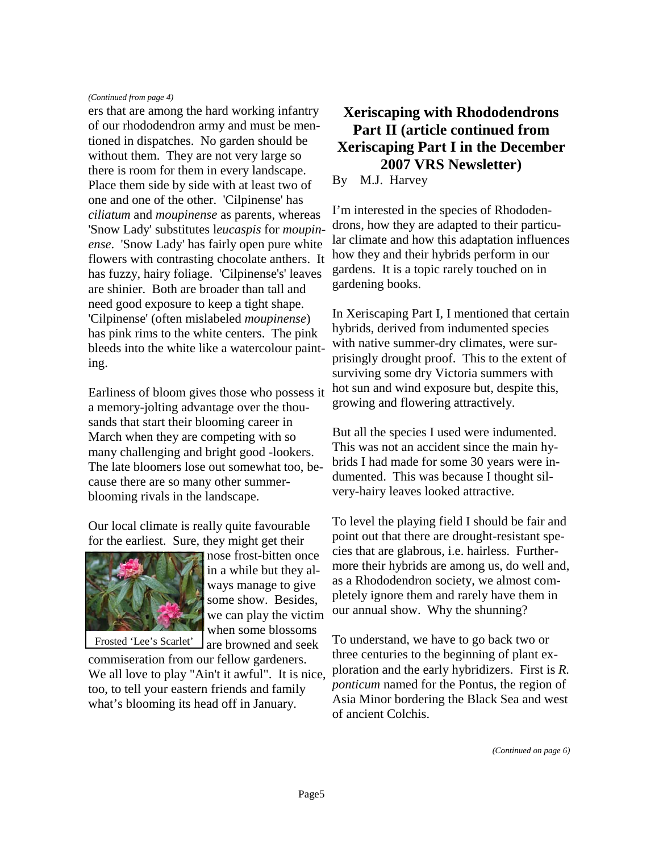### *(Continued from page 4)*

ers that are among the hard working infantry of our rhododendron army and must be mentioned in dispatches. No garden should be without them. They are not very large so there is room for them in every landscape. Place them side by side with at least two of one and one of the other. 'Cilpinense' has *ciliatum* and *moupinense* as parents, whereas 'Snow Lady' substitutes l*eucaspis* for *moupinense*. 'Snow Lady' has fairly open pure white flowers with contrasting chocolate anthers. It has fuzzy, hairy foliage. 'Cilpinense's' leaves are shinier. Both are broader than tall and need good exposure to keep a tight shape. 'Cilpinense' (often mislabeled *moupinense*) has pink rims to the white centers. The pink bleeds into the white like a watercolour painting.

Earliness of bloom gives those who possess it a memory-jolting advantage over the thousands that start their blooming career in March when they are competing with so many challenging and bright good -lookers. The late bloomers lose out somewhat too, because there are so many other summerblooming rivals in the landscape.

Our local climate is really quite favourable for the earliest. Sure, they might get their



nose frost-bitten once in a while but they always manage to give some show. Besides, we can play the victim when some blossoms are browned and seek

commiseration from our fellow gardeners. We all love to play "Ain't it awful". It is nice, too, to tell your eastern friends and family

what's blooming its head off in January.

# **Xeriscaping with Rhododendrons Part II (article continued from Xeriscaping Part I in the December 2007 VRS Newsletter)**

By M.J. Harvey

I'm interested in the species of Rhododendrons, how they are adapted to their particular climate and how this adaptation influences how they and their hybrids perform in our gardens. It is a topic rarely touched on in gardening books.

In Xeriscaping Part I, I mentioned that certain hybrids, derived from indumented species with native summer-dry climates, were surprisingly drought proof. This to the extent of surviving some dry Victoria summers with hot sun and wind exposure but, despite this, growing and flowering attractively.

But all the species I used were indumented. This was not an accident since the main hybrids I had made for some 30 years were indumented. This was because I thought silvery-hairy leaves looked attractive.

To level the playing field I should be fair and point out that there are drought-resistant species that are glabrous, i.e. hairless. Furthermore their hybrids are among us, do well and, as a Rhododendron society, we almost completely ignore them and rarely have them in our annual show. Why the shunning?

To understand, we have to go back two or three centuries to the beginning of plant exploration and the early hybridizers. First is *R. ponticum* named for the Pontus, the region of Asia Minor bordering the Black Sea and west of ancient Colchis.

*(Continued on page 6)*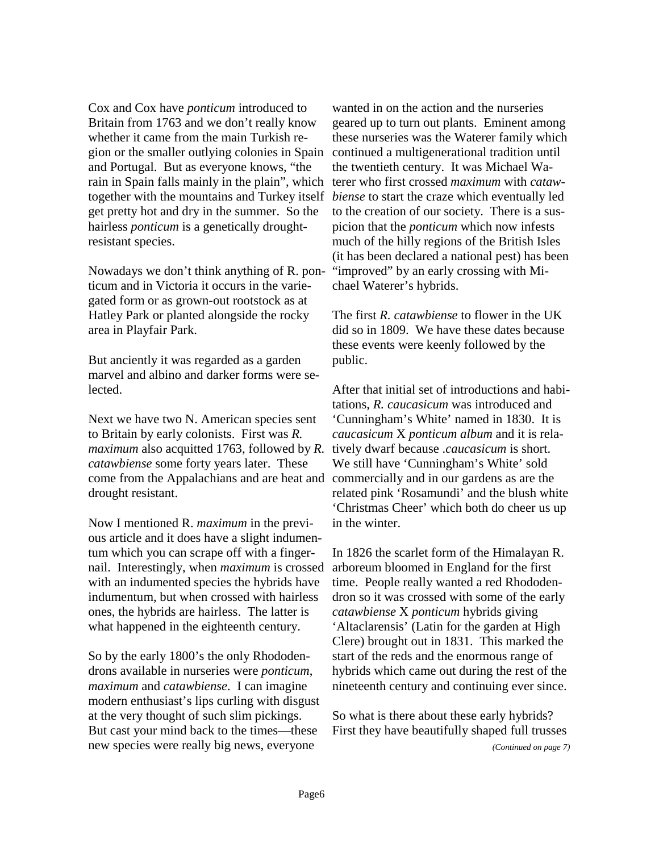Cox and Cox have *ponticum* introduced to Britain from 1763 and we don't really know whether it came from the main Turkish region or the smaller outlying colonies in Spain and Portugal. But as everyone knows, "the rain in Spain falls mainly in the plain", which together with the mountains and Turkey itself get pretty hot and dry in the summer. So the hairless *ponticum* is a genetically droughtresistant species.

Nowadays we don't think anything of R. ponticum and in Victoria it occurs in the variegated form or as grown-out rootstock as at Hatley Park or planted alongside the rocky area in Playfair Park.

But anciently it was regarded as a garden marvel and albino and darker forms were selected.

Next we have two N. American species sent to Britain by early colonists. First was *R. maximum* also acquitted 1763, followed by *R. catawbiense* some forty years later. These come from the Appalachians and are heat and drought resistant.

Now I mentioned R. *maximum* in the previous article and it does have a slight indumentum which you can scrape off with a fingernail. Interestingly, when *maximum* is crossed with an indumented species the hybrids have indumentum, but when crossed with hairless ones, the hybrids are hairless. The latter is what happened in the eighteenth century.

So by the early 1800's the only Rhododendrons available in nurseries were *ponticum*, *maximum* and *catawbiense*. I can imagine modern enthusiast's lips curling with disgust at the very thought of such slim pickings. But cast your mind back to the times—these new species were really big news, everyone

wanted in on the action and the nurseries geared up to turn out plants. Eminent among these nurseries was the Waterer family which continued a multigenerational tradition until the twentieth century. It was Michael Waterer who first crossed *maximum* with *catawbiense* to start the craze which eventually led to the creation of our society. There is a suspicion that the *ponticum* which now infests much of the hilly regions of the British Isles (it has been declared a national pest) has been "improved" by an early crossing with Michael Waterer's hybrids.

The first *R. catawbiense* to flower in the UK did so in 1809. We have these dates because these events were keenly followed by the public.

After that initial set of introductions and habitations, *R. caucasicum* was introduced and 'Cunningham's White' named in 1830. It is *caucasicum* X *ponticum album* and it is relatively dwarf because .*caucasicum* is short. We still have 'Cunningham's White' sold commercially and in our gardens as are the related pink 'Rosamundi' and the blush white 'Christmas Cheer' which both do cheer us up in the winter.

In 1826 the scarlet form of the Himalayan R. arboreum bloomed in England for the first time. People really wanted a red Rhododendron so it was crossed with some of the early *catawbiense* X *ponticum* hybrids giving 'Altaclarensis' (Latin for the garden at High Clere) brought out in 1831. This marked the start of the reds and the enormous range of hybrids which came out during the rest of the nineteenth century and continuing ever since.

So what is there about these early hybrids? First they have beautifully shaped full trusses

*(Continued on page 7)*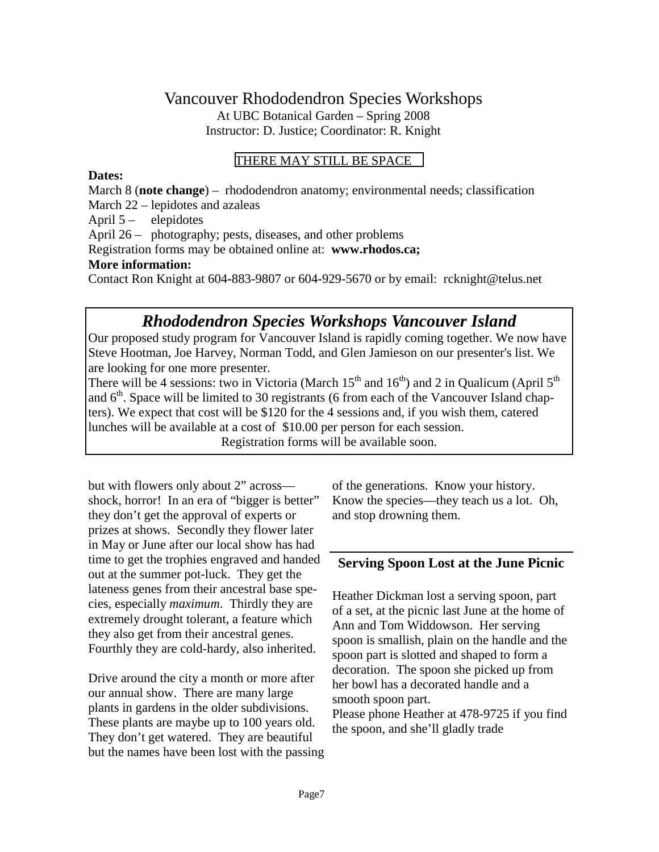## Vancouver Rhododendron Species Workshops At UBC Botanical Garden – Spring 2008 Instructor: D. Justice; Coordinator: R. Knight

### THERE MAY STILL BE SPACE

### **Dates:**

March 8 (**note change**) – rhododendron anatomy; environmental needs; classification March 22 – lepidotes and azaleas April 5 – elepidotes April 26 – photography; pests, diseases, and other problems Registration forms may be obtained online at: **www.rhodos.ca; More information:**  Contact Ron Knight at 604-883-9807 or 604-929-5670 or by email: rcknight@telus.net

# *Rhododendron Species Workshops Vancouver Island*

Our proposed study program for Vancouver Island is rapidly coming together. We now have Steve Hootman, Joe Harvey, Norman Todd, and Glen Jamieson on our presenter's list. We are looking for one more presenter.

There will be 4 sessions: two in Victoria (March  $15<sup>th</sup>$  and  $16<sup>th</sup>$ ) and 2 in Qualicum (April  $5<sup>th</sup>$ and  $6<sup>th</sup>$ . Space will be limited to 30 registrants (6 from each of the Vancouver Island chapters). We expect that cost will be \$120 for the 4 sessions and, if you wish them, catered lunches will be available at a cost of \$10.00 per person for each session.

Registration forms will be available soon.

but with flowers only about 2" across shock, horror! In an era of "bigger is better" they don't get the approval of experts or prizes at shows. Secondly they flower later in May or June after our local show has had time to get the trophies engraved and handed out at the summer pot-luck. They get the lateness genes from their ancestral base species, especially *maximum*. Thirdly they are extremely drought tolerant, a feature which they also get from their ancestral genes. Fourthly they are cold-hardy, also inherited.

Drive around the city a month or more after our annual show. There are many large plants in gardens in the older subdivisions. These plants are maybe up to 100 years old. They don't get watered. They are beautiful but the names have been lost with the passing of the generations. Know your history. Know the species—they teach us a lot. Oh, and stop drowning them.

### **Serving Spoon Lost at the June Picnic**

Heather Dickman lost a serving spoon, part of a set, at the picnic last June at the home of Ann and Tom Widdowson. Her serving spoon is smallish, plain on the handle and the spoon part is slotted and shaped to form a decoration. The spoon she picked up from her bowl has a decorated handle and a smooth spoon part. Please phone Heather at 478-9725 if you find the spoon, and she'll gladly trade